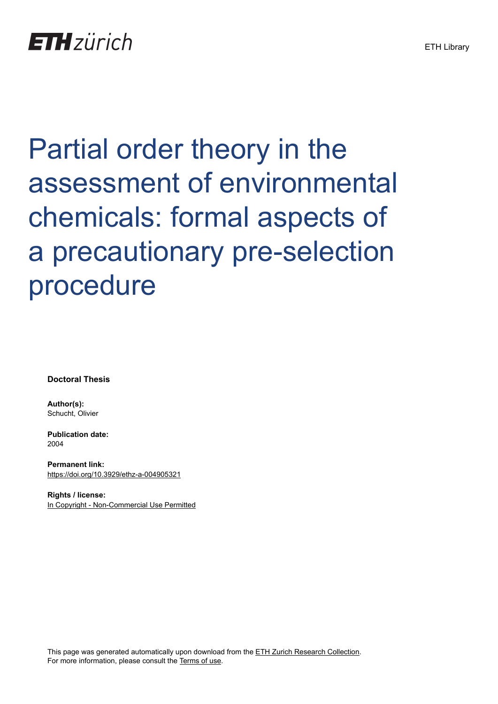# Partial order theory in the assessment of environmental chemicals: formal aspects of a precautionary pre-selection procedure

**Doctoral Thesis**

**Author(s):** Schucht, Olivier

**Publication date:** 2004

**Permanent link:** <https://doi.org/10.3929/ethz-a-004905321>

**Rights / license:** [In Copyright - Non-Commercial Use Permitted](http://rightsstatements.org/page/InC-NC/1.0/)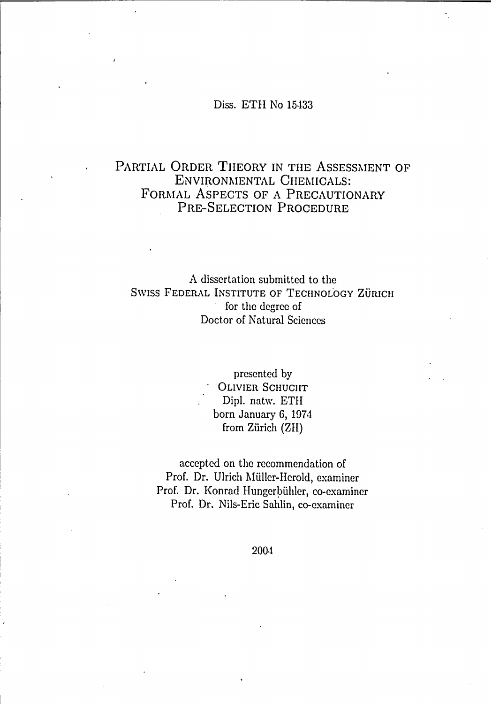## Diss. ETH No <sup>15433</sup>

## PARTIAL ORDER THEORY IN THE ASSESSMENT OF ENVIRONMENTAL CHEMICALS: FORMAL ASPECTS OF A PRECAUTIONARY Pre-Selection Procedure

A dissertation submitted to the SWISS FEDERAL INSTITUTE OF TECHNOLOGY ZÜRICH for the degree of Doctor of Natural Sciences

> presented by OLIVIER SCHUCHT Dipl. natw. ETH born January 6, 1974 from Zürich (ZH)

accepted on the recommendation of Prof. Dr. Ulrich Müller-Herold, examiner Prof. Dr. Konrad Hungerbühler, co-examiner Prof. Dr. Nils-Eric Sahlin, co-examiner

2004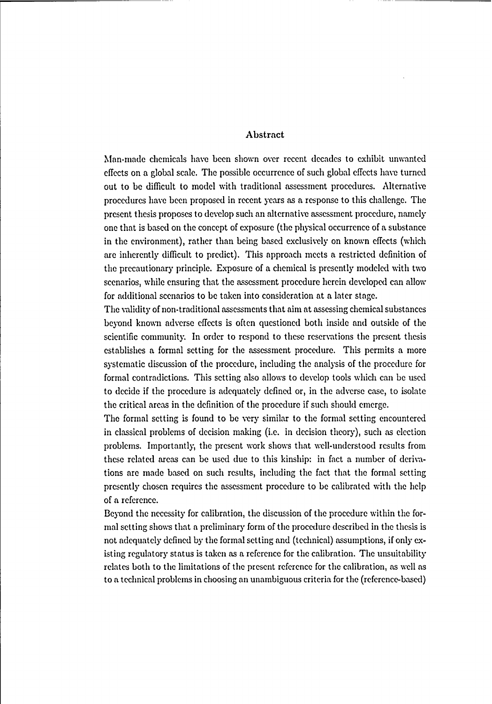### Abstract

Man-made cliemicals have bccn shown over recent decades to exhibit umvanted effects on a global scale. The possible occurrence of such global effects have turned out to be difficult to model with traditional assessment procedures. Alternative procedures have been proposed in recent years as a response to this challenge. The present thesis proposes to develop such an alternativeassessment procedure, namely one that is based on the concept of exposure (the physical occurrence of a substance in the environment), rather than being based exclusively on known effects (which are inherently difficult to predict). This approach meets a restrietcd definition of the precautionary principle. Exposure of a chemical is presently modeled with two scenarios, while ensuring that the assessment procedure herein developed can allow for additional scenarios to be taken into consideration at a later stage.

The validity of non-traditional assessments that aim at assessing chemical substances beyond known adverse effects is often questioned both inside and outside of the scientific community. In order to respond to these reservations the present thesis establishes a formal setting for the assessment procedure. This permits a more systematic discussion of the procedure, including the analysis of the procedure for formal contradictions. This setting also allows to develop tools which can be used to decide if the procedure is adequately defined or, in the adverse case, to isolate the critical areas in the definition of the procedure if such should emerge.

The formal setting is found to be very similar to the formal setting encountered in classical problems of decision making (i.e. in decision theory), such as election problems. Importantly, the present work shows that well-understood results from these related areas can be used due to this kinship: in fact a number of derivations are made based on such results, including the fact that the formal setting presently chosen requires the assessment procedure to be calibrated with the help of a reference.

Beyond the necessity for calibration, the discussion of the procedure within the formal setting shows that a preliminary form of the procedure described in the thesis is not adequately defined by the formal setting and (technical) assumptions, if only existing regulatory status is taken as a reference for the calibration. The unsuitability relates both to the limitations of the present reference for the calibration, as well as to a technical problems in choosing an unambiguous criteria for the (reference-based)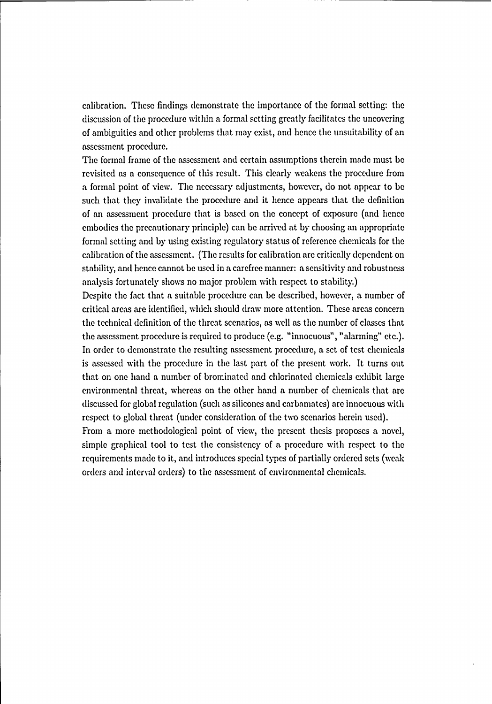calibration. These findings demonstrate the importance of the formal setting: the discussion of the procedure within a formal setting greatly facilitates the uncovering of ambiguities and other problems that may exist, and henee the unsuitabilityof an assessment procedure.

The formal frame of the assessment and certain assumptionstherein made must be revisited as a consequence of this result. This clearly weakens the procedure from a formal point of view. The necessary adjustments, however, do not appear to be such that they invalidate the procedure and it hence appears that the definition of an assessment procedure that is based on the concept of exposure (and henee embodics the precautionary principle) can be arrived at by choosing an appropriate formal setting and by using existing regulatory status of reference chemicals for the calibration of the assessment. (The results for calibration are critically dependent on stability, and henee cannot be used in a carefree manner: a sensitivity and robustness analysis fortunately shows no major problem with respect to stability.)

Despite the fact that a suitable procedure can be described, however, a number of critical areas are identified, which should draw more attention. These areas concern the technical definition of the threat scenarios, as well as the number of classes that the assessment procedure is required to produce (e.g. "innocuous", "alarming" etc.). In order to demonstrate the resultingassessment procedure, a set of test chemicals is assessed with the procedure in the last part of the present work. It turns out that on one hand a number of brominated and chlorinated chemicals exhibit large environmental threat, whereas on the other hand a number of chemicals that are discussed for global regulation (such as silicones and carbamates) are innocuous with respect to global threat (under consideration of the two scenarios herein used).

From a more methodological point of view, the present thesis proposes a novel, simple graphical tool to test the consistency of a procedure with respect to the requirements made to it, and introduces special types of partially ordered sets (weak orders and interval orders) to the assessment of environmental chemicals.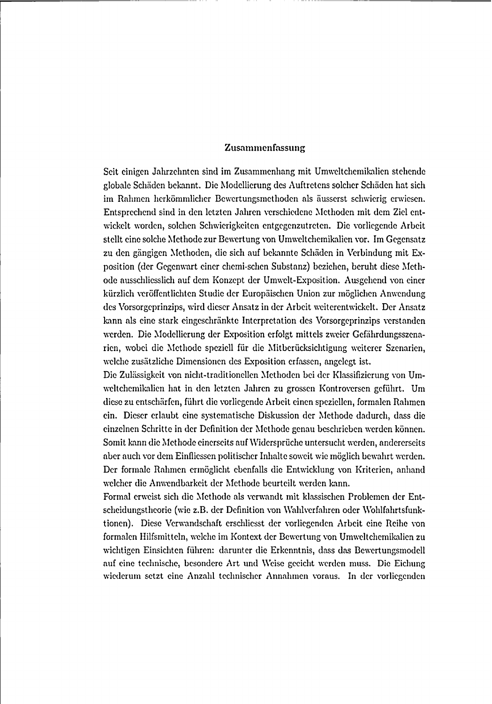#### Zusammenfassung

Seit einigen Jahrzehnten sind im Zusammenhang mit Umweltchemikalien stehende globale Schäden bekannt. Die Modellierung des Auftretens solcher Schäden hat sich im Rahmen herkömmlicher Bewertungsmethoden als äusserst schwierig erwiesen. Entsprechend sind in den letzten Jahren verschiedene Methoden mit dem Ziel entwickelt worden, solchen Schwierigkeiten entgegenzutreten. Die vorliegende Arbeit stellt eine solche Methode zur Bewertung von Umweltchemikalien vor. Im Gegensatz zu den gängigen Methoden, die sich auf bekannte Schäden in Verbindung mit Ex position (der Gegenwart einer chemi-schen Substanz) beziehen, beruht diese Methode ausschliesslich auf dem Konzept der Umwelt-Exposition. Ausgehend von einer kürzlich veröffentlichten Studie der Europäischen Union zur möglichen Anwendung des Vorsorgeprinzips, wird dieser Ansatz in der Arbeit weiterentwickelt. Der Ansatz kann als eine stark eingeschränkte Interpretation des Vorsorgeprinzips verstanden werden. Die Modellierung der Exposition erfolgt mittels zweier Gefährdungsszenarien, wobei die Methode speziell für die Mitberücksichtigung weiterer Szenarien, welche zusätzliche Dimensionen des Exposition erfassen, angelegt ist.

Die Zulässigkeit von nicht-traditionellen Methoden bei der Klassifizierung von Umweltchemikalien hat in den letzten Jahren zu grossen Kontroversengeführt. Um diese zu entschärfen, führt die vorliegende Arbeit einen speziellen, formalenRahmen ein. Dieser erlaubt eine systematische Diskussion der Methode dadurch, dass die einzelnen Schritte in der Definitionder Methode genau beschrieben werden können. Somit kann die Methode einerseits auf Widersprüche untersucht werden, andererseits aber auch vor dem Einfliessen politischer Inhalte soweit wie möglich bewahrt werden. Der formale Rahmen ermöglicht ebenfalls die Entwicklung von Kriterien, anhand welcher die Anwendbarkeit der Methode beurteilt werden kann.

Formal erweist sich die Methode als verwandt mit klassischen Problemen der Ent scheidungstheorie (wie z.B. der Definition von Wahlverfahren oder Wohlfahrtsfunktionen). Diese Verwandschaft crschliesst der vorliegenden Arbeit eine Reihe von formalen Hilfsmitteln, welche im Kontext der Bewertung von Umweltchemikalien zu wichtigen Einsichten führen: darunter die Erkenntnis, dass das Bewertungsmodell auf eine technische, besondere Art und Weise geeicht werden muss. Die Eichung wiederum setzt eine Anzahl technischer Annahmen voraus. In der vorliegenden